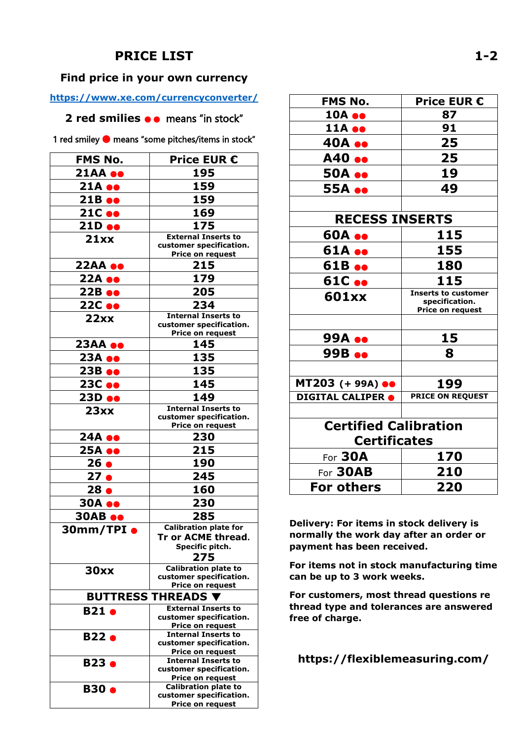## **PRICE LIST**

## **Find price in your own currency**

## **<https://www.xe.com/currencyconverter/>**

**2 red smilies ● ●** means "in stock"

1 red smiley  $\bullet$  means "some pitches/items in stock"

| 195<br><b>21AA ee</b><br>159<br>$21A \bullet\bullet$<br>159<br>21B ee<br>21C ee<br>169<br>175<br>21D ee<br><b>External Inserts to</b><br>21xx<br>customer specification.<br>Price on request<br>22AA ee<br>215<br>179<br>22A ee<br>205<br>22B ee<br>234<br>22C ee<br><b>Internal Inserts to</b><br>22xx<br>customer specification.<br>Price on request<br><b>23AA ee</b><br>145<br>135<br>23A ee<br>135<br>23B ee<br>145<br>23C ee<br>23D ee<br>149<br><b>Internal Inserts to</b><br>23xx<br>customer specification.<br>Price on request<br>24A ee<br>230<br>25A ee<br>215<br>26 <sub>•</sub><br>190<br>27 <sub>o</sub><br>245<br>28 <sub>o</sub><br>160<br><b>30A ee</b><br>230<br><b>30AB ee</b><br>285<br><b>Calibration plate for</b><br>30mm/TPI $\bullet$<br><b>Tr or ACME thread.</b><br>Specific pitch.<br>275<br><b>Calibration plate to</b><br>30xx<br>customer specification.<br>Price on request<br><b>BUTTRESS THREADS</b><br><b>External Inserts to</b><br><b>B21 e</b><br>customer specification.<br>Price on request<br><b>Internal Inserts to</b><br><b>B22 e</b><br>customer specification.<br>Price on request<br><b>Internal Inserts to</b><br><b>B23 e</b><br>customer specification.<br>Price on request<br><b>Calibration plate to</b><br><b>B30 e</b> | <b>FMS No.</b> | <b>Price EUR €</b>      |
|-------------------------------------------------------------------------------------------------------------------------------------------------------------------------------------------------------------------------------------------------------------------------------------------------------------------------------------------------------------------------------------------------------------------------------------------------------------------------------------------------------------------------------------------------------------------------------------------------------------------------------------------------------------------------------------------------------------------------------------------------------------------------------------------------------------------------------------------------------------------------------------------------------------------------------------------------------------------------------------------------------------------------------------------------------------------------------------------------------------------------------------------------------------------------------------------------------------------------------------------------------------------------------|----------------|-------------------------|
|                                                                                                                                                                                                                                                                                                                                                                                                                                                                                                                                                                                                                                                                                                                                                                                                                                                                                                                                                                                                                                                                                                                                                                                                                                                                               |                |                         |
|                                                                                                                                                                                                                                                                                                                                                                                                                                                                                                                                                                                                                                                                                                                                                                                                                                                                                                                                                                                                                                                                                                                                                                                                                                                                               |                |                         |
|                                                                                                                                                                                                                                                                                                                                                                                                                                                                                                                                                                                                                                                                                                                                                                                                                                                                                                                                                                                                                                                                                                                                                                                                                                                                               |                |                         |
|                                                                                                                                                                                                                                                                                                                                                                                                                                                                                                                                                                                                                                                                                                                                                                                                                                                                                                                                                                                                                                                                                                                                                                                                                                                                               |                |                         |
|                                                                                                                                                                                                                                                                                                                                                                                                                                                                                                                                                                                                                                                                                                                                                                                                                                                                                                                                                                                                                                                                                                                                                                                                                                                                               |                |                         |
|                                                                                                                                                                                                                                                                                                                                                                                                                                                                                                                                                                                                                                                                                                                                                                                                                                                                                                                                                                                                                                                                                                                                                                                                                                                                               |                |                         |
|                                                                                                                                                                                                                                                                                                                                                                                                                                                                                                                                                                                                                                                                                                                                                                                                                                                                                                                                                                                                                                                                                                                                                                                                                                                                               |                |                         |
|                                                                                                                                                                                                                                                                                                                                                                                                                                                                                                                                                                                                                                                                                                                                                                                                                                                                                                                                                                                                                                                                                                                                                                                                                                                                               |                |                         |
|                                                                                                                                                                                                                                                                                                                                                                                                                                                                                                                                                                                                                                                                                                                                                                                                                                                                                                                                                                                                                                                                                                                                                                                                                                                                               |                |                         |
|                                                                                                                                                                                                                                                                                                                                                                                                                                                                                                                                                                                                                                                                                                                                                                                                                                                                                                                                                                                                                                                                                                                                                                                                                                                                               |                |                         |
|                                                                                                                                                                                                                                                                                                                                                                                                                                                                                                                                                                                                                                                                                                                                                                                                                                                                                                                                                                                                                                                                                                                                                                                                                                                                               |                |                         |
|                                                                                                                                                                                                                                                                                                                                                                                                                                                                                                                                                                                                                                                                                                                                                                                                                                                                                                                                                                                                                                                                                                                                                                                                                                                                               |                |                         |
|                                                                                                                                                                                                                                                                                                                                                                                                                                                                                                                                                                                                                                                                                                                                                                                                                                                                                                                                                                                                                                                                                                                                                                                                                                                                               |                |                         |
|                                                                                                                                                                                                                                                                                                                                                                                                                                                                                                                                                                                                                                                                                                                                                                                                                                                                                                                                                                                                                                                                                                                                                                                                                                                                               |                |                         |
|                                                                                                                                                                                                                                                                                                                                                                                                                                                                                                                                                                                                                                                                                                                                                                                                                                                                                                                                                                                                                                                                                                                                                                                                                                                                               |                |                         |
|                                                                                                                                                                                                                                                                                                                                                                                                                                                                                                                                                                                                                                                                                                                                                                                                                                                                                                                                                                                                                                                                                                                                                                                                                                                                               |                |                         |
|                                                                                                                                                                                                                                                                                                                                                                                                                                                                                                                                                                                                                                                                                                                                                                                                                                                                                                                                                                                                                                                                                                                                                                                                                                                                               |                |                         |
|                                                                                                                                                                                                                                                                                                                                                                                                                                                                                                                                                                                                                                                                                                                                                                                                                                                                                                                                                                                                                                                                                                                                                                                                                                                                               |                |                         |
|                                                                                                                                                                                                                                                                                                                                                                                                                                                                                                                                                                                                                                                                                                                                                                                                                                                                                                                                                                                                                                                                                                                                                                                                                                                                               |                |                         |
|                                                                                                                                                                                                                                                                                                                                                                                                                                                                                                                                                                                                                                                                                                                                                                                                                                                                                                                                                                                                                                                                                                                                                                                                                                                                               |                |                         |
|                                                                                                                                                                                                                                                                                                                                                                                                                                                                                                                                                                                                                                                                                                                                                                                                                                                                                                                                                                                                                                                                                                                                                                                                                                                                               |                |                         |
|                                                                                                                                                                                                                                                                                                                                                                                                                                                                                                                                                                                                                                                                                                                                                                                                                                                                                                                                                                                                                                                                                                                                                                                                                                                                               |                |                         |
|                                                                                                                                                                                                                                                                                                                                                                                                                                                                                                                                                                                                                                                                                                                                                                                                                                                                                                                                                                                                                                                                                                                                                                                                                                                                               |                |                         |
|                                                                                                                                                                                                                                                                                                                                                                                                                                                                                                                                                                                                                                                                                                                                                                                                                                                                                                                                                                                                                                                                                                                                                                                                                                                                               |                |                         |
|                                                                                                                                                                                                                                                                                                                                                                                                                                                                                                                                                                                                                                                                                                                                                                                                                                                                                                                                                                                                                                                                                                                                                                                                                                                                               |                |                         |
|                                                                                                                                                                                                                                                                                                                                                                                                                                                                                                                                                                                                                                                                                                                                                                                                                                                                                                                                                                                                                                                                                                                                                                                                                                                                               |                |                         |
|                                                                                                                                                                                                                                                                                                                                                                                                                                                                                                                                                                                                                                                                                                                                                                                                                                                                                                                                                                                                                                                                                                                                                                                                                                                                               |                |                         |
|                                                                                                                                                                                                                                                                                                                                                                                                                                                                                                                                                                                                                                                                                                                                                                                                                                                                                                                                                                                                                                                                                                                                                                                                                                                                               |                |                         |
|                                                                                                                                                                                                                                                                                                                                                                                                                                                                                                                                                                                                                                                                                                                                                                                                                                                                                                                                                                                                                                                                                                                                                                                                                                                                               |                |                         |
|                                                                                                                                                                                                                                                                                                                                                                                                                                                                                                                                                                                                                                                                                                                                                                                                                                                                                                                                                                                                                                                                                                                                                                                                                                                                               |                |                         |
|                                                                                                                                                                                                                                                                                                                                                                                                                                                                                                                                                                                                                                                                                                                                                                                                                                                                                                                                                                                                                                                                                                                                                                                                                                                                               |                |                         |
|                                                                                                                                                                                                                                                                                                                                                                                                                                                                                                                                                                                                                                                                                                                                                                                                                                                                                                                                                                                                                                                                                                                                                                                                                                                                               |                |                         |
|                                                                                                                                                                                                                                                                                                                                                                                                                                                                                                                                                                                                                                                                                                                                                                                                                                                                                                                                                                                                                                                                                                                                                                                                                                                                               |                |                         |
|                                                                                                                                                                                                                                                                                                                                                                                                                                                                                                                                                                                                                                                                                                                                                                                                                                                                                                                                                                                                                                                                                                                                                                                                                                                                               |                |                         |
|                                                                                                                                                                                                                                                                                                                                                                                                                                                                                                                                                                                                                                                                                                                                                                                                                                                                                                                                                                                                                                                                                                                                                                                                                                                                               |                |                         |
|                                                                                                                                                                                                                                                                                                                                                                                                                                                                                                                                                                                                                                                                                                                                                                                                                                                                                                                                                                                                                                                                                                                                                                                                                                                                               |                |                         |
|                                                                                                                                                                                                                                                                                                                                                                                                                                                                                                                                                                                                                                                                                                                                                                                                                                                                                                                                                                                                                                                                                                                                                                                                                                                                               |                |                         |
|                                                                                                                                                                                                                                                                                                                                                                                                                                                                                                                                                                                                                                                                                                                                                                                                                                                                                                                                                                                                                                                                                                                                                                                                                                                                               |                |                         |
|                                                                                                                                                                                                                                                                                                                                                                                                                                                                                                                                                                                                                                                                                                                                                                                                                                                                                                                                                                                                                                                                                                                                                                                                                                                                               |                |                         |
|                                                                                                                                                                                                                                                                                                                                                                                                                                                                                                                                                                                                                                                                                                                                                                                                                                                                                                                                                                                                                                                                                                                                                                                                                                                                               |                |                         |
|                                                                                                                                                                                                                                                                                                                                                                                                                                                                                                                                                                                                                                                                                                                                                                                                                                                                                                                                                                                                                                                                                                                                                                                                                                                                               |                |                         |
| Price on request                                                                                                                                                                                                                                                                                                                                                                                                                                                                                                                                                                                                                                                                                                                                                                                                                                                                                                                                                                                                                                                                                                                                                                                                                                                              |                | customer specification. |

| <b>FMS No.</b>                   | <b>Price EUR €</b>                           |
|----------------------------------|----------------------------------------------|
| 10A ee                           | 87                                           |
| 11A ee                           | 91                                           |
| 40A ee                           | 25                                           |
| A40 ee                           | 25                                           |
| <b>50A ee</b>                    | 19                                           |
| 55A ee                           | 49                                           |
|                                  |                                              |
| <b>RECESS INSERTS</b>            |                                              |
| <b>60A ee</b>                    | 115                                          |
| 61A ee                           | 155                                          |
| 61B ee                           | 180                                          |
| 61C ee                           | 115                                          |
| 601xx                            | <b>Inserts to customer</b><br>specification. |
|                                  | <b>Price on request</b>                      |
|                                  |                                              |
| 99A ee                           | 15                                           |
| 99B ee                           | 8                                            |
|                                  |                                              |
| $MT203 (+ 99A)$ $\bullet\bullet$ | 199                                          |
| <b>DIGITAL CALIPER @</b>         | <b>PRICE ON REQUEST</b>                      |
|                                  |                                              |
| <b>Certified Calibration</b>     |                                              |
| <b>Certificates</b>              |                                              |
| For 30A                          | 170                                          |
| For 30AB                         | 210                                          |
| <b>For others</b>                | 220                                          |

**Delivery: For items in stock delivery is normally the work day after an order or payment has been received.** 

**For items not in stock manufacturing time can be up to 3 work weeks.**

**For customers, most thread questions re thread type and tolerances are answered free of charge.**

**https://flexiblemeasuring.com/**